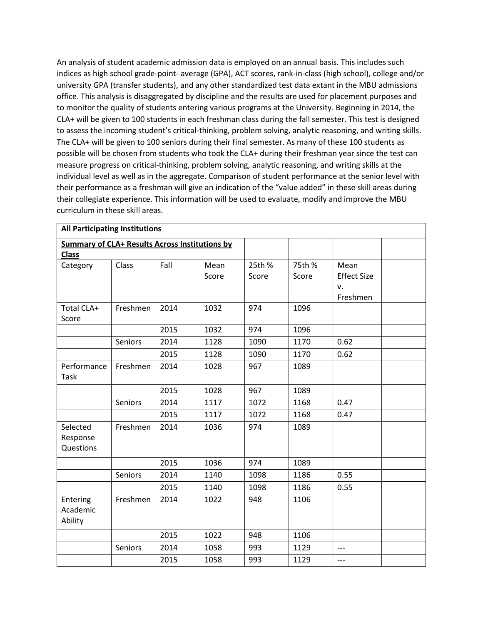An analysis of student academic admission data is employed on an annual basis. This includes such indices as high school grade-point- average (GPA), ACT scores, rank-in-class (high school), college and/or university GPA (transfer students), and any other standardized test data extant in the MBU admissions office. This analysis is disaggregated by discipline and the results are used for placement purposes and to monitor the quality of students entering various programs at the University. Beginning in 2014, the CLA+ will be given to 100 students in each freshman class during the fall semester. This test is designed to assess the incoming student's critical-thinking, problem solving, analytic reasoning, and writing skills. The CLA+ will be given to 100 seniors during their final semester. As many of these 100 students as possible will be chosen from students who took the CLA+ during their freshman year since the test can measure progress on critical-thinking, problem solving, analytic reasoning, and writing skills at the individual level as well as in the aggregate. Comparison of student performance at the senior level with their performance as a freshman will give an indication of the "value added" in these skill areas during their collegiate experience. This information will be used to evaluate, modify and improve the MBU curriculum in these skill areas.

| <b>All Participating Institutions</b>          |          |      |       |        |        |                    |  |  |
|------------------------------------------------|----------|------|-------|--------|--------|--------------------|--|--|
| Summary of CLA+ Results Across Institutions by |          |      |       |        |        |                    |  |  |
| <b>Class</b>                                   |          |      |       |        |        |                    |  |  |
| Category                                       | Class    | Fall | Mean  | 25th % | 75th % | Mean               |  |  |
|                                                |          |      | Score | Score  | Score  | <b>Effect Size</b> |  |  |
|                                                |          |      |       |        |        | v.                 |  |  |
| Total CLA+                                     | Freshmen | 2014 | 1032  | 974    | 1096   | Freshmen           |  |  |
| Score                                          |          |      |       |        |        |                    |  |  |
|                                                |          | 2015 | 1032  | 974    | 1096   |                    |  |  |
|                                                | Seniors  | 2014 | 1128  | 1090   | 1170   | 0.62               |  |  |
|                                                |          | 2015 | 1128  | 1090   | 1170   | 0.62               |  |  |
| Performance                                    | Freshmen | 2014 | 1028  | 967    | 1089   |                    |  |  |
| Task                                           |          |      |       |        |        |                    |  |  |
|                                                |          | 2015 | 1028  | 967    | 1089   |                    |  |  |
|                                                | Seniors  | 2014 | 1117  | 1072   | 1168   | 0.47               |  |  |
|                                                |          | 2015 | 1117  | 1072   | 1168   | 0.47               |  |  |
| Selected                                       | Freshmen | 2014 | 1036  | 974    | 1089   |                    |  |  |
| Response                                       |          |      |       |        |        |                    |  |  |
| Questions                                      |          |      |       |        |        |                    |  |  |
|                                                |          | 2015 | 1036  | 974    | 1089   |                    |  |  |
|                                                | Seniors  | 2014 | 1140  | 1098   | 1186   | 0.55               |  |  |
|                                                |          | 2015 | 1140  | 1098   | 1186   | 0.55               |  |  |
| Entering                                       | Freshmen | 2014 | 1022  | 948    | 1106   |                    |  |  |
| Academic                                       |          |      |       |        |        |                    |  |  |
| Ability                                        |          |      |       |        |        |                    |  |  |
|                                                |          | 2015 | 1022  | 948    | 1106   |                    |  |  |
|                                                | Seniors  | 2014 | 1058  | 993    | 1129   | ---                |  |  |
|                                                |          | 2015 | 1058  | 993    | 1129   | ---                |  |  |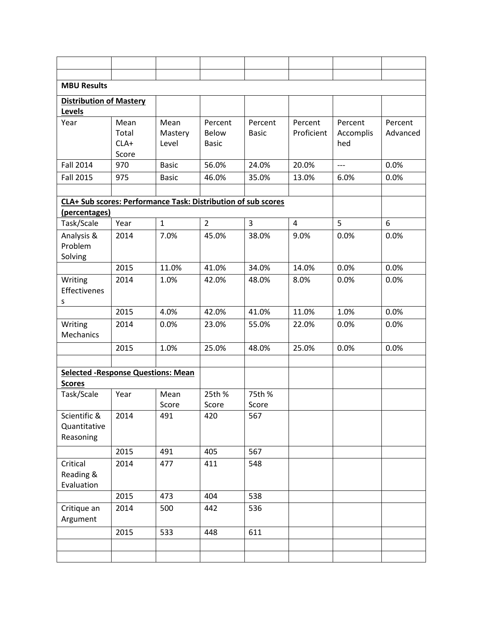| <b>MBU Results</b>                                            |        |               |                 |              |            |           |          |  |  |
|---------------------------------------------------------------|--------|---------------|-----------------|--------------|------------|-----------|----------|--|--|
| <b>Distribution of Mastery</b>                                |        |               |                 |              |            |           |          |  |  |
| Levels                                                        |        |               |                 |              |            |           |          |  |  |
| Year                                                          | Mean   | Mean          | Percent         | Percent      | Percent    | Percent   | Percent  |  |  |
|                                                               | Total  | Mastery       | <b>Below</b>    | <b>Basic</b> | Proficient | Accomplis | Advanced |  |  |
|                                                               | $CLA+$ | Level         | <b>Basic</b>    |              |            | hed       |          |  |  |
|                                                               | Score  |               |                 |              |            |           |          |  |  |
| <b>Fall 2014</b>                                              | 970    | <b>Basic</b>  | 56.0%           | 24.0%        | 20.0%      | $---$     | 0.0%     |  |  |
| <b>Fall 2015</b>                                              | 975    | <b>Basic</b>  | 46.0%           | 35.0%        | 13.0%      | 6.0%      | 0.0%     |  |  |
|                                                               |        |               |                 |              |            |           |          |  |  |
| CLA+ Sub scores: Performance Task: Distribution of sub scores |        |               |                 |              |            |           |          |  |  |
| (percentages)                                                 |        |               |                 |              |            |           |          |  |  |
| Task/Scale                                                    | Year   | $\mathbf{1}$  | $\overline{2}$  | 3            | 4          | 5         | 6        |  |  |
| Analysis &                                                    | 2014   | 7.0%          | 45.0%           | 38.0%        | 9.0%       | 0.0%      | 0.0%     |  |  |
| Problem                                                       |        |               |                 |              |            |           |          |  |  |
| Solving                                                       |        |               |                 |              |            |           |          |  |  |
|                                                               | 2015   | 11.0%         | 41.0%           | 34.0%        | 14.0%      | 0.0%      | 0.0%     |  |  |
| Writing                                                       | 2014   | 1.0%          | 42.0%           | 48.0%        | 8.0%       | 0.0%      | 0.0%     |  |  |
| Effectivenes                                                  |        |               |                 |              |            |           |          |  |  |
| S                                                             | 2015   | 4.0%          | 42.0%           | 41.0%        | 11.0%      | 1.0%      | 0.0%     |  |  |
|                                                               |        |               |                 |              |            |           |          |  |  |
| Writing<br>Mechanics                                          | 2014   | 0.0%          | 23.0%           | 55.0%        | 22.0%      | 0.0%      | 0.0%     |  |  |
|                                                               |        |               |                 |              |            |           |          |  |  |
|                                                               | 2015   | 1.0%          | 25.0%           | 48.0%        | 25.0%      | 0.0%      | 0.0%     |  |  |
|                                                               |        |               |                 |              |            |           |          |  |  |
| <b>Selected - Response Questions: Mean</b>                    |        |               |                 |              |            |           |          |  |  |
| <b>Scores</b>                                                 |        |               |                 | 75th %       |            |           |          |  |  |
| Task/Scale                                                    | Year   | Mean<br>Score | 25th %<br>Score | Score        |            |           |          |  |  |
| Scientific &                                                  | 2014   | 491           | 420             | 567          |            |           |          |  |  |
| Quantitative                                                  |        |               |                 |              |            |           |          |  |  |
| Reasoning                                                     |        |               |                 |              |            |           |          |  |  |
|                                                               | 2015   | 491           | 405             | 567          |            |           |          |  |  |
| Critical                                                      | 2014   | 477           | 411             | 548          |            |           |          |  |  |
| Reading &                                                     |        |               |                 |              |            |           |          |  |  |
| Evaluation                                                    |        |               |                 |              |            |           |          |  |  |
|                                                               | 2015   | 473           | 404             | 538          |            |           |          |  |  |
| Critique an                                                   | 2014   | 500           | 442             | 536          |            |           |          |  |  |
| Argument                                                      |        |               |                 |              |            |           |          |  |  |
|                                                               | 2015   | 533           | 448             | 611          |            |           |          |  |  |
|                                                               |        |               |                 |              |            |           |          |  |  |
|                                                               |        |               |                 |              |            |           |          |  |  |
|                                                               |        |               |                 |              |            |           |          |  |  |